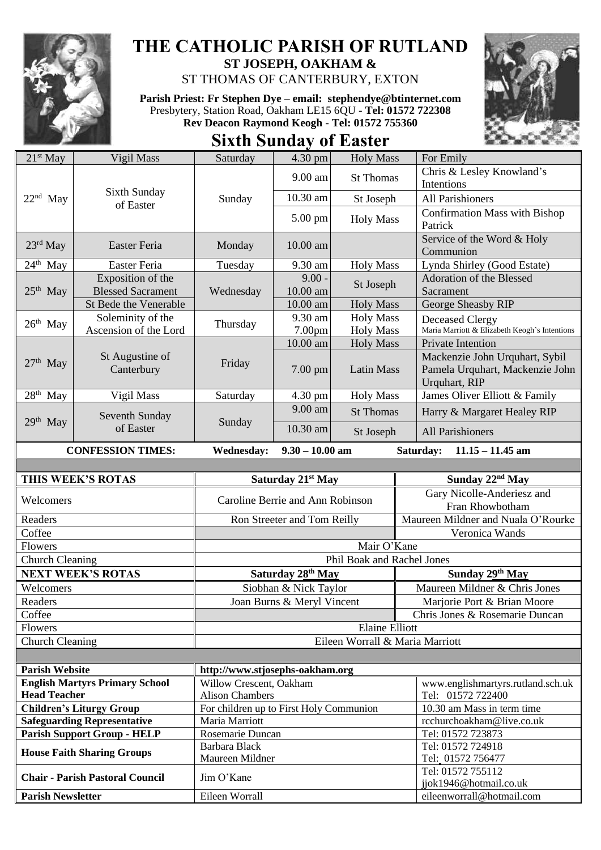

## **THE CATHOLIC PARISH OF RUTLAND ST JOSEPH, OAKHAM &**

ST THOMAS OF CANTERBURY, EXTON

**Parish Priest: Fr Stephen Dye** – **[email: stephendye@btinternet.com](mailto:email:%20%20stephendye@btinternet.com)** Presbytery, Station Road, Oakham LE15 6QU - **Tel: 01572 722308 Rev Deacon Raymond Keogh - Tel: 01572 755360**





| $21st$ May                                                         | Vigil Mass                             | Saturday                                          | 4.30 pm                       | <b>Holy Mass</b>                | For Emily                                                                          |
|--------------------------------------------------------------------|----------------------------------------|---------------------------------------------------|-------------------------------|---------------------------------|------------------------------------------------------------------------------------|
| $22nd$ May                                                         | Sixth Sunday<br>of Easter              | Sunday                                            | 9.00 am                       | <b>St Thomas</b>                | Chris & Lesley Knowland's<br>Intentions                                            |
|                                                                    |                                        |                                                   | 10.30 am                      | St Joseph                       | All Parishioners                                                                   |
|                                                                    |                                        |                                                   | 5.00 pm                       | <b>Holy Mass</b>                | <b>Confirmation Mass with Bishop</b><br>Patrick                                    |
| $23rd$ May                                                         | Easter Feria                           | Monday                                            | 10.00 am                      |                                 | Service of the Word & Holy<br>Communion                                            |
| $24th$ May                                                         | Easter Feria                           | Tuesday                                           | 9.30 am                       | <b>Holy Mass</b>                | Lynda Shirley (Good Estate)                                                        |
| $25th$ May                                                         | Exposition of the                      | Wednesday                                         | $9.00 -$                      |                                 | Adoration of the Blessed                                                           |
|                                                                    | <b>Blessed Sacrament</b>               |                                                   | 10.00 am                      | St Joseph                       | Sacrament                                                                          |
|                                                                    | St Bede the Venerable                  |                                                   | 10.00 am                      | <b>Holy Mass</b>                | George Sheasby RIP                                                                 |
| $26th$ May                                                         | Soleminity of the                      | Thursday                                          | 9.30 am                       | <b>Holy Mass</b>                | Deceased Clergy                                                                    |
|                                                                    | Ascension of the Lord                  |                                                   | 7.00pm                        | <b>Holy Mass</b>                | Maria Marriott & Elizabeth Keogh's Intentions                                      |
|                                                                    |                                        |                                                   | 10.00 am                      | <b>Holy Mass</b>                | Private Intention                                                                  |
| $27th$ May                                                         | St Augustine of<br>Canterbury          | Friday                                            | 7.00 pm                       | <b>Latin Mass</b>               | Mackenzie John Urquhart, Sybil<br>Pamela Urquhart, Mackenzie John<br>Urquhart, RIP |
| 28 <sup>th</sup> May                                               | Vigil Mass                             | Saturday                                          | 4.30 pm                       | <b>Holy Mass</b>                | James Oliver Elliott & Family                                                      |
| $29th$ May                                                         | Seventh Sunday<br>of Easter            | Sunday                                            | 9.00 am                       | <b>St Thomas</b>                | Harry & Margaret Healey RIP                                                        |
|                                                                    |                                        |                                                   | 10.30 am                      | St Joseph                       | All Parishioners                                                                   |
| <b>CONFESSION TIMES:</b><br><b>Wednesday:</b><br>$9.30 - 10.00$ am |                                        |                                                   |                               |                                 | Saturday:<br>$11.15 - 11.45$ am                                                    |
|                                                                    |                                        |                                                   |                               |                                 |                                                                                    |
| THIS WEEK'S ROTAS                                                  |                                        | Saturday 21 <sup>st</sup> May                     |                               |                                 | Sunday 22 <sup>nd</sup> May                                                        |
| Welcomers                                                          |                                        | Caroline Berrie and Ann Robinson                  |                               |                                 | Gary Nicolle-Anderiesz and                                                         |
|                                                                    |                                        |                                                   |                               |                                 | Fran Rhowbotham                                                                    |
| Readers                                                            |                                        | Ron Streeter and Tom Reilly                       |                               |                                 | Maureen Mildner and Nuala O'Rourke                                                 |
|                                                                    |                                        |                                                   |                               |                                 |                                                                                    |
| Coffee                                                             |                                        |                                                   |                               |                                 | Veronica Wands                                                                     |
| Flowers                                                            |                                        |                                                   |                               | Mair O'Kane                     |                                                                                    |
| <b>Church Cleaning</b>                                             |                                        |                                                   |                               | Phil Boak and Rachel Jones      |                                                                                    |
|                                                                    | <b>NEXT WEEK'S ROTAS</b>               |                                                   | Saturday 28 <sup>th</sup> May |                                 | Sunday 29th May                                                                    |
| Welcomers                                                          |                                        |                                                   | Siobhan & Nick Taylor         |                                 | Maureen Mildner & Chris Jones                                                      |
| Readers                                                            |                                        |                                                   | Joan Burns & Meryl Vincent    |                                 | Marjorie Port & Brian Moore                                                        |
| Coffee                                                             |                                        |                                                   |                               |                                 | Chris Jones & Rosemarie Duncan                                                     |
| Flowers                                                            |                                        |                                                   |                               | <b>Elaine Elliott</b>           |                                                                                    |
| Church Cleaning                                                    |                                        |                                                   |                               | Eileen Worrall & Maria Marriott |                                                                                    |
|                                                                    |                                        |                                                   |                               |                                 |                                                                                    |
| <b>Parish Website</b>                                              |                                        | http://www.stjosephs-oakham.org                   |                               |                                 |                                                                                    |
| <b>Head Teacher</b>                                                | <b>English Martyrs Primary School</b>  | Willow Crescent, Oakham<br><b>Alison Chambers</b> |                               |                                 | www.englishmartyrs.rutland.sch.uk<br>Tel: 01572 722400                             |
|                                                                    | <b>Children's Liturgy Group</b>        | For children up to First Holy Communion           |                               |                                 | 10.30 am Mass in term time                                                         |
|                                                                    | <b>Safeguarding Representative</b>     | Maria Marriott                                    |                               |                                 | rcchurchoakham@live.co.uk                                                          |
|                                                                    | <b>Parish Support Group - HELP</b>     | Rosemarie Duncan                                  |                               |                                 | Tel: 01572 723873                                                                  |
|                                                                    |                                        | Barbara Black                                     |                               |                                 | Tel: 01572 724918                                                                  |
|                                                                    | <b>House Faith Sharing Groups</b>      | Maureen Mildner                                   |                               |                                 | Tel: 01572 756477                                                                  |
|                                                                    | <b>Chair - Parish Pastoral Council</b> | Jim O'Kane                                        |                               |                                 | Tel: 01572 755112                                                                  |
| <b>Parish Newsletter</b>                                           |                                        | Eileen Worrall                                    |                               |                                 | jjok1946@hotmail.co.uk<br>eileenworrall@hotmail.com                                |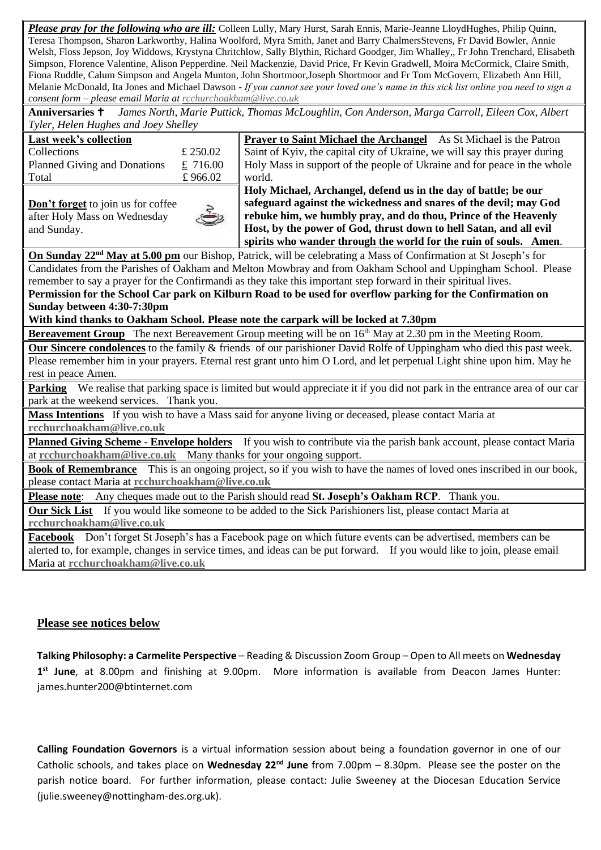*Please pray for the following who are ill:* Colleen Lully, Mary Hurst, Sarah Ennis, Marie-Jeanne LloydHughes, Philip Quinn, Teresa Thompson, Sharon Larkworthy, Halina Woolford, Myra Smith, Janet and Barry ChalmersStevens, Fr David Bowler, Annie Welsh, Floss Jepson, Joy Widdows, Krystyna Chritchlow, Sally Blythin, Richard Goodger, Jim Whalley,, Fr John Trenchard, Elisabeth Simpson, Florence Valentine, Alison Pepperdine. Neil Mackenzie, David Price, Fr Kevin Gradwell, Moira McCormick, Claire Smith, Fiona Ruddle, Calum Simpson and Angela Munton, John Shortmoor,Joseph Shortmoor and Fr Tom McGovern, Elizabeth Ann Hill, Melanie McDonald, Ita Jones and Michael Dawson *- If you cannot see your loved one's name in this sick list online you need to sign a consent form – please email Maria a[t rcchurchoakham@live.co.uk](mailto:rcchurchoakham@live.co.uk)*

**Anniversaries** *James North, Marie Puttick, Thomas McLoughlin, Con Anderson, Marga Carroll, Eileen Cox, Albert Tyler, Helen Hughes and Joey Shelley*

## **Last week's collection**  $C_1$ llections  $f$  250.02

| Planned Giving and Donations | £ 716.00 |
|------------------------------|----------|
| Total                        | £966.02  |
|                              |          |

**Don't forget** to join us for coffee after Holy Mass on Wednesday and Sunday.

**Prayer to Saint Michael the Archangel** As St Michael is the Patron Saint of Kyiv, the capital city of Ukraine, we will say this prayer during Holy Mass in support of the people of Ukraine and for peace in the whole world.

**Holy Michael, Archangel, defend us in the day of battle; be our safeguard against the wickedness and snares of the devil; may God rebuke him, we humbly pray, and do thou, Prince of the Heavenly Host, by the power of God, thrust down to hell Satan, and all evil spirits who wander through the world for the ruin of souls. Amen**.

**On Sunday 22nd May at 5.00 pm** our Bishop, Patrick, will be celebrating a Mass of Confirmation at St Joseph's for Candidates from the Parishes of Oakham and Melton Mowbray and from Oakham School and Uppingham School. Please remember to say a prayer for the Confirmandi as they take this important step forward in their spiritual lives. **Permission for the School Car park on Kilburn Road to be used for overflow parking for the Confirmation on** 

## **Sunday between 4:30-7:30pm**

**With kind thanks to Oakham School. Please note the carpark will be locked at 7.30pm**

**Bereavement Group** The next Bereavement Group meeting will be on 16<sup>th</sup> May at 2.30 pm in the Meeting Room.

**Our Sincere condolences** to the family & friends of our parishioner David Rolfe of Uppingham who died this past week. Please remember him in your prayers. Eternal rest grant unto him O Lord, and let perpetual Light shine upon him. May he rest in peace Amen.

**Parking** We realise that parking space is limited but would appreciate it if you did not park in the entrance area of our car park at the weekend services. Thank you.

**Mass Intentions** If you wish to have a Mass said for anyone living or deceased, please contact Maria at **[rcchurchoakham@live.co.uk](mailto:rcchurchoakham@live.co.uk)**

**Planned Giving Scheme - Envelope holders** If you wish to contribute via the parish bank account, please contact Maria at **[rcchurchoakham@live.co.uk](mailto:rcchurchoakham@live.co.uk)** Many thanks for your ongoing support.

**Book of Remembrance** This is an ongoing project, so if you wish to have the names of loved ones inscribed in our book, please contact Maria at **[rcchurchoakham@live.co.uk](mailto:rcchurchoakham@live.co.uk)**

**Please note**: Any cheques made out to the Parish should read **St. Joseph's Oakham RCP**. Thank you.

**Our Sick List** If you would like someone to be added to the Sick Parishioners list, please contact Maria at **[rcchurchoakham@live.co.uk](mailto:rcchurchoakham@live.co.uk)**

**Facebook** Don't forget St Joseph's has a Facebook page on which future events can be advertised, members can be alerted to, for example, changes in service times, and ideas can be put forward. If you would like to join, please email Maria at **[rcchurchoakham@live.co.uk](mailto:rcchurchoakham@live.co.uk)**

## **Please see notices below**

**Talking Philosophy: a Carmelite Perspective** – Reading & Discussion Zoom Group – Open to All meets on **Wednesday 1 st June**, at 8.00pm and finishing at 9.00pm. More information is available from Deacon James Hunter: james.hunter200@btinternet.com

**Calling Foundation Governors** is a virtual information session about being a foundation governor in one of our Catholic schools, and takes place on **Wednesday 22nd June** from 7.00pm – 8.30pm. Please see the poster on the parish notice board. For further information, please contact: Julie Sweeney at the Diocesan Education Service (julie.sweeney@nottingham-des.org.uk).